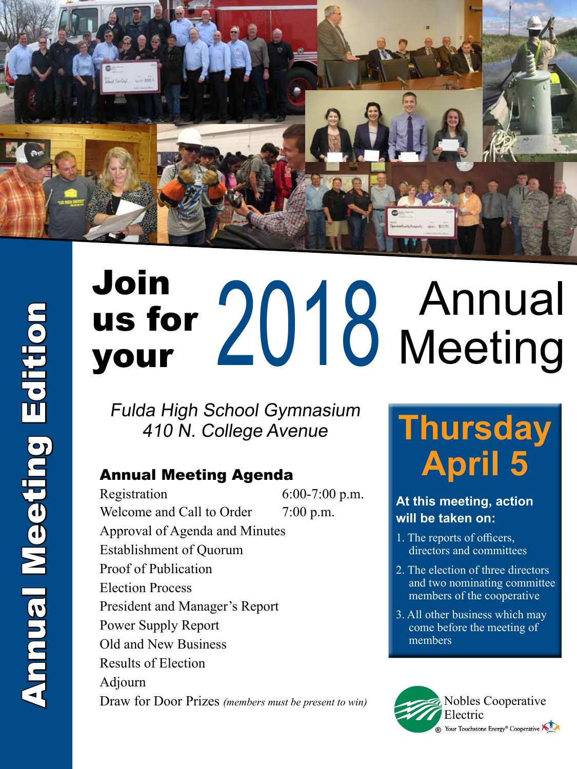

# Join us for Join<br>us for 2018 Annual<br>your 2018 Meeting

Fulda High School Gymnasium 410 N. College Avenue

Registration 6:00-7:00 p.m. Welcome and Call to Order  $7:00$  p.m. Approval of Agenda and Minutes Establishment of Quorum Proof of Publication Election Process President and Manager's Report Power Supply Report Old and New Business Results of Election Adjourn Draw for Door Prizes *(members must be present to win)*

# **Thursday** Annual Meeting Agenda **April 5**

#### **At this meeting, action will be taken on:**

- 1. The reports of officers, directors and committees
- 2. The election of three directors and two nominating committee members of the cooperative
- 3. All other business which may come before the meeting of members

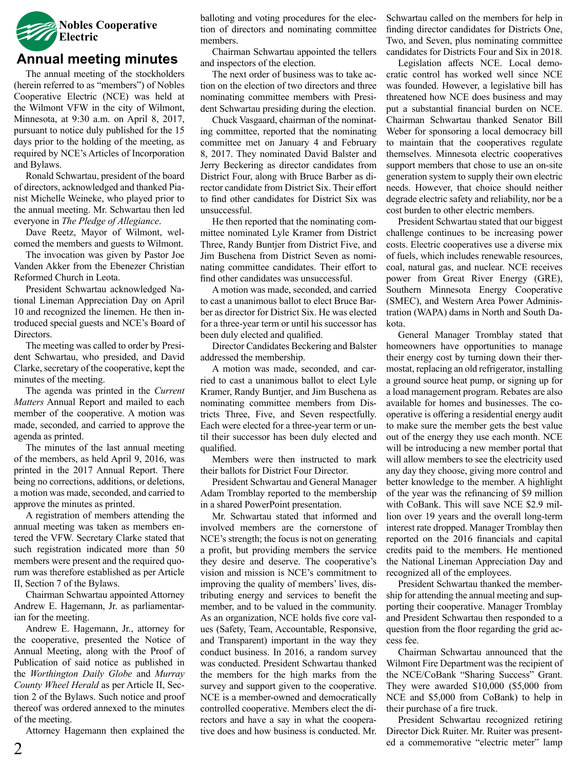

#### **Annual meeting minutes**

The annual meeting of the stockholders (herein referred to as "members") of Nobles Cooperative Electric (NCE) was held at the Wilmont VFW in the city of Wilmont, Minnesota, at 9:30 a.m. on April 8, 2017, pursuant to notice duly published for the 15 days prior to the holding of the meeting, as required by NCE's Articles of Incorporation and Bylaws.

Ronald Schwartau, president of the board of directors, acknowledged and thanked Pianist Michelle Weineke, who played prior to the annual meeting. Mr. Schwartau then led everyone in *The Pledge of Allegiance*.

Dave Reetz, Mayor of Wilmont, welcomed the members and guests to Wilmont.

The invocation was given by Pastor Joe Vanden Akker from the Ebenezer Christian Reformed Church in Leota.

President Schwartau acknowledged National Lineman Appreciation Day on April 10 and recognized the linemen. He then introduced special guests and NCE's Board of Directors.

The meeting was called to order by President Schwartau, who presided, and David Clarke, secretary of the cooperative, kept the minutes of the meeting.

The agenda was printed in the *Current Matters* Annual Report and mailed to each member of the cooperative. A motion was made, seconded, and carried to approve the agenda as printed.

The minutes of the last annual meeting of the members, as held April 9, 2016, was printed in the 2017 Annual Report. There being no corrections, additions, or deletions, a motion was made, seconded, and carried to approve the minutes as printed.

A registration of members attending the annual meeting was taken as members entered the VFW. Secretary Clarke stated that such registration indicated more than 50 members were present and the required quorum was therefore established as per Article II, Section 7 of the Bylaws.

Chairman Schwartau appointed Attorney Andrew E. Hagemann, Jr. as parliamentarian for the meeting.

Andrew E. Hagemann, Jr., attorney for the cooperative, presented the Notice of Annual Meeting, along with the Proof of Publication of said notice as published in the *Worthington Daily Globe* and *Murray County Wheel Herald* as per Article II, Section 2 of the Bylaws. Such notice and proof thereof was ordered annexed to the minutes of the meeting.

Attorney Hagemann then explained the

balloting and voting procedures for the election of directors and nominating committee members.

Chairman Schwartau appointed the tellers and inspectors of the election.

The next order of business was to take action on the election of two directors and three nominating committee members with President Schwartau presiding during the election.

Chuck Vasgaard, chairman of the nominating committee, reported that the nominating committee met on January 4 and February 8, 2017. They nominated David Balster and Jerry Beckering as director candidates from District Four, along with Bruce Barber as director candidate from District Six. Their effort to find other candidates for District Six was unsuccessful.

He then reported that the nominating committee nominated Lyle Kramer from District Three, Randy Buntjer from District Five, and Jim Buschena from District Seven as nominating committee candidates. Their effort to find other candidates was unsuccessful.

A motion was made, seconded, and carried to cast a unanimous ballot to elect Bruce Barber as director for District Six. He was elected for a three-year term or until his successor has been duly elected and qualified.

Director Candidates Beckering and Balster addressed the membership.

A motion was made, seconded, and carried to cast a unanimous ballot to elect Lyle Kramer, Randy Buntjer, and Jim Buschena as nominating committee members from Districts Three, Five, and Seven respectfully. Each were elected for a three-year term or until their successor has been duly elected and qualified.

Members were then instructed to mark their ballots for District Four Director.

President Schwartau and General Manager Adam Tromblay reported to the membership in a shared PowerPoint presentation.

Mr. Schwartau stated that informed and involved members are the cornerstone of NCE's strength; the focus is not on generating a profit, but providing members the service they desire and deserve. The cooperative's vision and mission is NCE's commitment to improving the quality of members' lives, distributing energy and services to benefit the member, and to be valued in the community. As an organization, NCE holds five core values (Safety, Team, Accountable, Responsive, and Transparent) important in the way they conduct business. In 2016, a random survey was conducted. President Schwartau thanked the members for the high marks from the survey and support given to the cooperative. NCE is a member-owned and democratically controlled cooperative. Members elect the directors and have a say in what the cooperative does and how business is conducted. Mr.

Schwartau called on the members for help in finding director candidates for Districts One, Two, and Seven, plus nominating committee candidates for Districts Four and Six in 2018.

Legislation affects NCE. Local democratic control has worked well since NCE was founded. However, a legislative bill has threatened how NCE does business and may put a substantial financial burden on NCE. Chairman Schwartau thanked Senator Bill Weber for sponsoring a local democracy bill to maintain that the cooperatives regulate themselves. Minnesota electric cooperatives support members that chose to use an on-site generation system to supply their own electric needs. However, that choice should neither degrade electric safety and reliability, nor be a cost burden to other electric members.

President Schwartau stated that our biggest challenge continues to be increasing power costs. Electric cooperatives use a diverse mix of fuels, which includes renewable resources, coal, natural gas, and nuclear. NCE receives power from Great River Energy (GRE), Southern Minnesota Energy Cooperative (SMEC), and Western Area Power Administration (WAPA) dams in North and South Dakota.

General Manager Tromblay stated that homeowners have opportunities to manage their energy cost by turning down their thermostat, replacing an old refrigerator, installing a ground source heat pump, or signing up for a load management program. Rebates are also available for homes and businesses. The cooperative is offering a residential energy audit to make sure the member gets the best value out of the energy they use each month. NCE will be introducing a new member portal that will allow members to see the electricity used any day they choose, giving more control and better knowledge to the member. A highlight of the year was the refinancing of \$9 million with CoBank. This will save NCE \$2.9 million over 19 years and the overall long-term interest rate dropped. Manager Tromblay then reported on the 2016 financials and capital credits paid to the members. He mentioned the National Lineman Appreciation Day and recognized all of the employees.

President Schwartau thanked the membership for attending the annual meeting and supporting their cooperative. Manager Tromblay and President Schwartau then responded to a question from the floor regarding the grid access fee.

Chairman Schwartau announced that the Wilmont Fire Department was the recipient of the NCE/CoBank "Sharing Success" Grant. They were awarded \$10,000 (\$5,000 from NCE and \$5,000 from CoBank) to help in their purchase of a fire truck.

President Schwartau recognized retiring Director Dick Ruiter. Mr. Ruiter was presented a commemorative "electric meter" lamp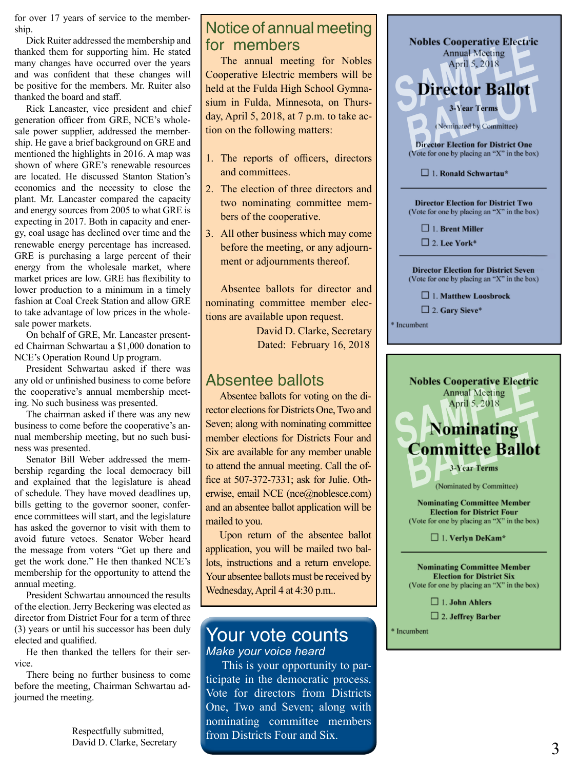for over 17 years of service to the member ship.

Dick Ruiter addressed the membership and thanked them for supporting him. He stated many changes have occurred over the years and was confident that these changes will be positive for the members. Mr. Ruiter also thanked the board and staff.

Rick Lancaster, vice president and chief generation officer from GRE, NCE's whole sale power supplier, addressed the member ship. He gave a brief background on GRE and mentioned the highlights in 2016. A map was shown of where GRE's renewable resources are located. He discussed Stanton Station's economics and the necessity to close the plant. Mr. Lancaster compared the capacity and energy sources from 2005 to what GRE is expecting in 2017. Both in capacity and ener gy, coal usage has declined over time and the renewable energy percentage has increased. GRE is purchasing a large percent of their energy from the wholesale market, where market prices are low. GRE has flexibility to lower production to a minimum in a timely fashion at Coal Creek Station and allow GRE to take advantage of low prices in the whole sale power markets.

On behalf of GRE, Mr. Lancaster present ed Chairman Schwartau a \$1,000 donation to NCE's Operation Round Up program.

President Schwartau asked if there was any old or unfinished business to come before the cooperative's annual membership meet ing. No such business was presented.

The chairman asked if there was any new business to come before the cooperative's an nual membership meeting, but no such busi ness was presented.

Senator Bill Weber addressed the mem bership regarding the local democracy bill and explained that the legislature is ahead of schedule. They have moved deadlines up, bills getting to the governor sooner, confer ence committees will start, and the legislature has asked the governor to visit with them to avoid future vetoes. Senator Weber heard the message from voters "Get up there and get the work done." He then thanked NCE's membership for the opportunity to attend the annual meeting.

President Schwartau announced the results of the election. Jerry Beckering was elected as director from District Four for a term of three (3) years or until his successor has been duly elected and qualified.

He then thanked the tellers for their ser vice.

There being no further business to come before the meeting, Chairman Schwartau ad journed the meeting.

> Respectfully submitted, David D. Clarke, Secretary

#### Notice of annual meeting for members

The annual meeting for Nobles Cooperative Electric members will be held at the Fulda High School Gymna sium in Fulda, Minnesota, on Thurs day, April 5, 2018, at 7 p.m. to take ac tion on the following matters:

- 1. The reports of officers, directors and committees.
- 2. The election of three directors and two nominating committee mem bers of the cooperative.
- 3. All other business which may come before the meeting, or any adjourn ment or adjournments thereof.

Absentee ballots for director and nominating committee member elec tions are available upon request.

> David D. Clarke, Secretary Dated: February 16, 2018

### Absentee ballots

Absentee ballots for voting on the di rector elections for Districts One, Two and Seven; along with nominating committee member elections for Districts Four and Six are available for any member unable to attend the annual meeting. Call the office at 507-372-7331; ask for Julie. Otherwise, email NCE (nce@noblesce.com) and an absentee ballot application will be mailed to you.

Upon return of the absentee ballot application, you will be mailed two bal lots, instructions and a return envelope. Your absentee ballots must be received by Wednesday, April 4 at 4:30 p.m..

#### Your vote counts *Make your voice heard*

This is your opportunity to par ticipate in the democratic process. Vote for directors from Districts One, Two and Seven; along with nominating committee members from Districts Four and Six.